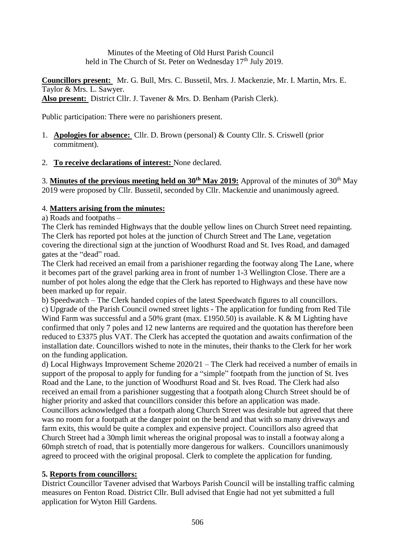Minutes of the Meeting of Old Hurst Parish Council held in The Church of St. Peter on Wednesday  $17<sup>th</sup>$  July 2019.

**Councillors present:** Mr. G. Bull, Mrs. C. Bussetil, Mrs. J. Mackenzie, Mr. I. Martin, Mrs. E. Taylor & Mrs. L. Sawyer. **Also present:** District Cllr. J. Tavener & Mrs. D. Benham (Parish Clerk).

Public participation: There were no parishioners present.

- 1. **Apologies for absence:** Cllr. D. Brown (personal) & County Cllr. S. Criswell (prior commitment).
- 2. **To receive declarations of interest:** None declared.

3. **Minutes of the previous meeting held on 30th May 2019:** Approval of the minutes of 30th May 2019 were proposed by Cllr. Bussetil, seconded by Cllr. Mackenzie and unanimously agreed.

## 4. **Matters arising from the minutes:**

a) Roads and footpaths –

The Clerk has reminded Highways that the double yellow lines on Church Street need repainting. The Clerk has reported pot holes at the junction of Church Street and The Lane, vegetation covering the directional sign at the junction of Woodhurst Road and St. Ives Road, and damaged gates at the "dead" road.

The Clerk had received an email from a parishioner regarding the footway along The Lane, where it becomes part of the gravel parking area in front of number 1-3 Wellington Close. There are a number of pot holes along the edge that the Clerk has reported to Highways and these have now been marked up for repair.

b) Speedwatch – The Clerk handed copies of the latest Speedwatch figures to all councillors. c) Upgrade of the Parish Council owned street lights - The application for funding from Red Tile Wind Farm was successful and a 50% grant (max. £1950.50) is available. K & M Lighting have confirmed that only 7 poles and 12 new lanterns are required and the quotation has therefore been reduced to £3375 plus VAT. The Clerk has accepted the quotation and awaits confirmation of the installation date. Councillors wished to note in the minutes, their thanks to the Clerk for her work on the funding application.

d) Local Highways Improvement Scheme 2020/21 – The Clerk had received a number of emails in support of the proposal to apply for funding for a "simple" footpath from the junction of St. Ives Road and the Lane, to the junction of Woodhurst Road and St. Ives Road. The Clerk had also received an email from a parishioner suggesting that a footpath along Church Street should be of higher priority and asked that councillors consider this before an application was made. Councillors acknowledged that a footpath along Church Street was desirable but agreed that there was no room for a footpath at the danger point on the bend and that with so many driveways and farm exits, this would be quite a complex and expensive project. Councillors also agreed that Church Street had a 30mph limit whereas the original proposal was to install a footway along a 60mph stretch of road, that is potentially more dangerous for walkers. Councillors unanimously agreed to proceed with the original proposal. Clerk to complete the application for funding.

### **5. Reports from councillors:**

District Councillor Tavener advised that Warboys Parish Council will be installing traffic calming measures on Fenton Road. District Cllr. Bull advised that Engie had not yet submitted a full application for Wyton Hill Gardens.